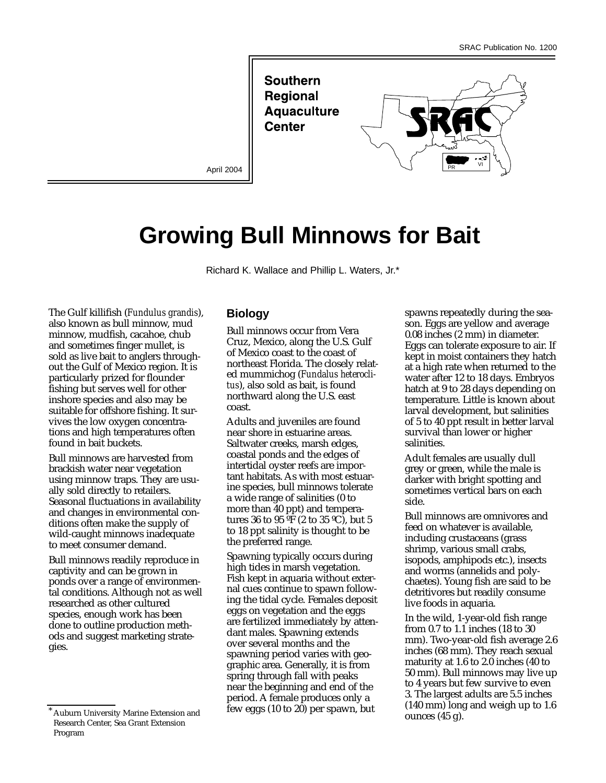**Southern Regional Aquaculture Center** 



# **Growing Bull Minnows for Bait**

Richard K. Wallace and Phillip L. Waters, Jr.\*

The Gulf killifish (*Fundulus grandis*), also known as bull minnow, mud minnow, mudfish, cacahoe, chub and sometimes finger mullet, is sold as live bait to anglers throughout the Gulf of Mexico region. It is particularly prized for flounder fishing but serves well for other inshore species and also may be suitable for offshore fishing. It survives the low oxygen concentrations and high temperatures often found in bait buckets.

Bull minnows are harvested from brackish water near vegetation using minnow traps. They are usually sold directly to retailers. Seasonal fluctuations in availability and changes in environmental conditions often make the supply of wild-caught minnows inadequate to meet consumer demand.

Bull minnows readily reproduce in captivity and can be grown in ponds over a range of environmental conditions. Although not as well researched as other cultured species, enough work has been done to outline production methods and suggest marketing strategies.

### **Biology**

Bull minnows occur from Vera Cruz, Mexico, along the U.S. Gulf of Mexico coast to the coast of northeast Florida. The closely related mummichog (*Fundalus heteroclitus*), also sold as bait, is found northward along the U.S. east coast.

Adults and juveniles are found near shore in estuarine areas. Saltwater creeks, marsh edges, coastal ponds and the edges of intertidal oyster reefs are important habitats. As with most estuarine species, bull minnows tolerate a wide range of salinities (0 to more than 40 ppt) and temperatures 36 to 95  $\overline{°}$  (2 to 35  $\overline{°}$ C), but 5 to 18 ppt salinity is thought to be the preferred range.

Spawning typically occurs during high tides in marsh vegetation. Fish kept in aquaria without external cues continue to spawn following the tidal cycle. Females deposit eggs on vegetation and the eggs are fertilized immediately by attendant males. Spawning extends over several months and the spawning period varies with geographic area. Generally, it is from spring through fall with peaks near the beginning and end of the period. A female produces only a few eggs  $(10 \text{ to } 20)$  per spawn, but

spawns repeatedly during the season. Eggs are yellow and average 0.08 inches (2 mm) in diameter. Eggs can tolerate exposure to air. If kept in moist containers they hatch at a high rate when returned to the water after 12 to 18 days. Embryos hatch at 9 to 28 days depending on temperature. Little is known about larval development, but salinities of 5 to 40 ppt result in better larval survival than lower or higher salinities.

Adult females are usually dull grey or green, while the male is darker with bright spotting and sometimes vertical bars on each side.

Bull minnows are omnivores and feed on whatever is available, including crustaceans (grass shrimp, various small crabs, isopods, amphipods etc.), insects and worms (annelids and polychaetes). Young fish are said to be detritivores but readily consume live foods in aquaria.

In the wild, 1-year-old fish range from 0.7 to 1.1 inches (18 to 30 mm). Two-year-old fish average 2.6 inches (68 mm). They reach sexual maturity at 1.6 to 2.0 inches (40 to 50 mm). Bull minnows may live up to 4 years but few survive to even 3. The largest adults are 5.5 inches (140 mm) long and weigh up to 1.6 ounces (45 g).

Auburn University Marine Extension and Research Center, Sea Grant Extension Program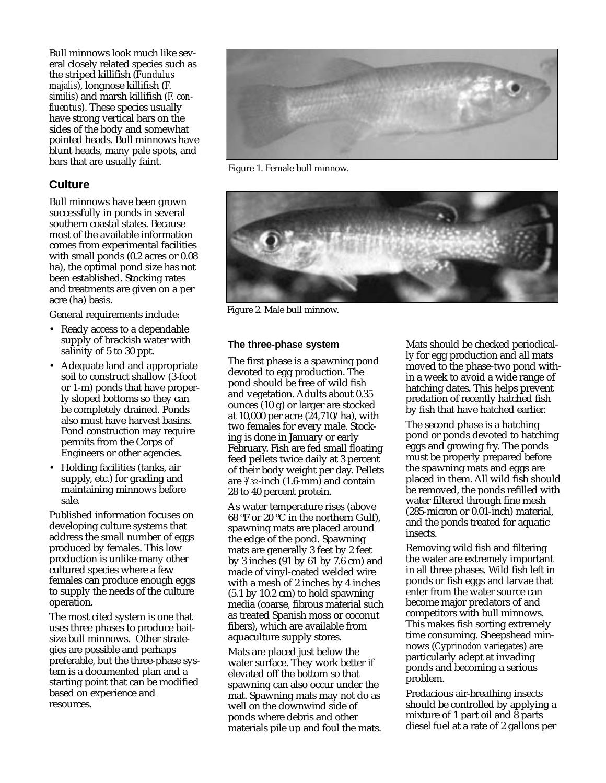Bull minnows look much like several closely related species such as the striped killifish (*Fundulus majalis*), longnose killifish (*F. similis*) and marsh killifish (*F. confluentus*). These species usually have strong vertical bars on the sides of the body and somewhat pointed heads. Bull minnows have blunt heads, many pale spots, and bars that are usually faint.

## **Culture**

Bull minnows have been grown successfully in ponds in several southern coastal states. Because most of the available information comes from experimental facilities with small ponds (0.2 acres or 0.08 ha), the optimal pond size has not been established. Stocking rates and treatments are given on a per acre (ha) basis.

General requirements include:

- Ready access to a dependable supply of brackish water with salinity of 5 to 30 ppt.
- Adequate land and appropriate soil to construct shallow (3-foot or 1-m) ponds that have properly sloped bottoms so they can be completely drained. Ponds also must have harvest basins. Pond construction may require permits from the Corps of Engineers or other agencies.
- Holding facilities (tanks, air supply, etc.) for grading and maintaining minnows before sale.

Published information focuses on developing culture systems that address the small number of eggs produced by females. This low production is unlike many other cultured species where a few females can produce enough eggs to supply the needs of the culture operation.

The most cited system is one that uses three phases to produce baitsize bull minnows. Other strategies are possible and perhaps preferable, but the three-phase system is a documented plan and a starting point that can be modified based on experience and resources.



Figure 1. Female bull minnow.



Figure 2. Male bull minnow.

#### **The three-phase system**

The first phase is a spawning pond devoted to egg production. The pond should be free of wild fish and vegetation. Adults about 0.35 ounces (10 g) or larger are stocked at 10,000 per acre (24,710/ha), with two females for every male. Stocking is done in January or early February. Fish are fed small floating feed pellets twice daily at 3 percent of their body weight per day. Pellets are 3 /32-inch (1.6-mm) and contain 28 to 40 percent protein.

As water temperature rises (above 68 ºF or 20 ºC in the northern Gulf), spawning mats are placed around the edge of the pond. Spawning mats are generally 3 feet by 2 feet by 3 inches (91 by 61 by 7.6 cm) and made of vinyl-coated welded wire with a mesh of 2 inches by 4 inches (5.1 by 10.2 cm) to hold spawning media (coarse, fibrous material such as treated Spanish moss or coconut fibers), which are available from aquaculture supply stores.

Mats are placed just below the water surface. They work better if elevated off the bottom so that spawning can also occur under the mat. Spawning mats may not do as well on the downwind side of ponds where debris and other materials pile up and foul the mats.

Mats should be checked periodically for egg production and all mats moved to the phase-two pond within a week to avoid a wide range of hatching dates. This helps prevent predation of recently hatched fish by fish that have hatched earlier.

The second phase is a hatching pond or ponds devoted to hatching eggs and growing fry. The ponds must be properly prepared before the spawning mats and eggs are placed in them. All wild fish should be removed, the ponds refilled with water filtered through fine mesh (285-micron or 0.01-inch) material, and the ponds treated for aquatic insects.

Removing wild fish and filtering the water are extremely important in all three phases. Wild fish left in ponds or fish eggs and larvae that enter from the water source can become major predators of and competitors with bull minnows. This makes fish sorting extremely time consuming. Sheepshead minnows (*Cyprinodon variegates*) are particularly adept at invading ponds and becoming a serious problem.

Predacious air-breathing insects should be controlled by applying a mixture of 1 part oil and 8 parts diesel fuel at a rate of 2 gallons per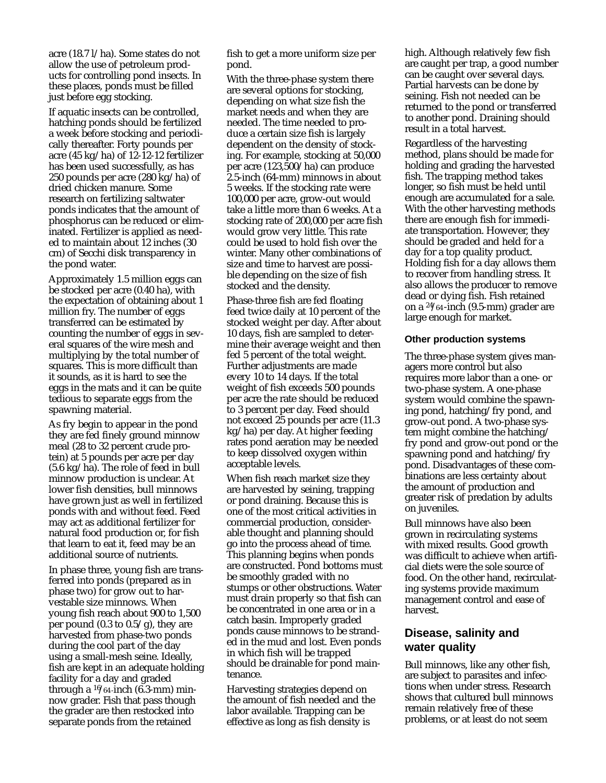acre (18.7 l/ha). Some states do not allow the use of petroleum products for controlling pond insects. In these places, ponds must be filled just before egg stocking.

If aquatic insects can be controlled, hatching ponds should be fertilized a week before stocking and periodically thereafter. Forty pounds per acre (45 kg/ha) of 12-12-12 fertilizer has been used successfully, as has 250 pounds per acre (280 kg/ha) of dried chicken manure. Some research on fertilizing saltwater ponds indicates that the amount of phosphorus can be reduced or eliminated. Fertilizer is applied as needed to maintain about 12 inches (30 cm) of Secchi disk transparency in the pond water.

Approximately 1.5 million eggs can be stocked per acre (0.40 ha), with the expectation of obtaining about 1 million fry. The number of eggs transferred can be estimated by counting the number of eggs in several squares of the wire mesh and multiplying by the total number of squares. This is more difficult than it sounds, as it is hard to see the eggs in the mats and it can be quite tedious to separate eggs from the spawning material.

As fry begin to appear in the pond they are fed finely ground minnow meal (28 to 32 percent crude protein) at 5 pounds per acre per day (5.6 kg/ha). The role of feed in bull minnow production is unclear. At lower fish densities, bull minnows have grown just as well in fertilized ponds with and without feed. Feed may act as additional fertilizer for natural food production or, for fish that learn to eat it, feed may be an additional source of nutrients.

In phase three, young fish are transferred into ponds (prepared as in phase two) for grow out to harvestable size minnows. When young fish reach about 900 to 1,500 per pound (0.3 to  $0.5/g$ ), they are harvested from phase-two ponds during the cool part of the day using a small-mesh seine. Ideally, fish are kept in an adequate holding facility for a day and graded through a 16/64 -inch (6.3-mm) minnow grader. Fish that pass though the grader are then restocked into separate ponds from the retained

fish to get a more uniform size per pond.

With the three-phase system there are several options for stocking, depending on what size fish the market needs and when they are needed. The time needed to produce a certain size fish is largely dependent on the density of stocking. For example, stocking at 50,000 per acre (123,500/ha) can produce 2.5-inch (64-mm) minnows in about 5 weeks. If the stocking rate were 100,000 per acre, grow-out would take a little more than 6 weeks. At a stocking rate of 200,000 per acre fish would grow very little. This rate could be used to hold fish over the winter. Many other combinations of size and time to harvest are possible depending on the size of fish stocked and the density.

Phase-three fish are fed floating feed twice daily at 10 percent of the stocked weight per day. After about 10 days, fish are sampled to determine their average weight and then fed 5 percent of the total weight. Further adjustments are made every 10 to 14 days. If the total weight of fish exceeds 500 pounds per acre the rate should be reduced to 3 percent per day. Feed should not exceed 25 pounds per acre (11.3 kg/ha) per day. At higher feeding rates pond aeration may be needed to keep dissolved oxygen within acceptable levels.

When fish reach market size they are harvested by seining, trapping or pond draining. Because this is one of the most critical activities in commercial production, considerable thought and planning should go into the process ahead of time. This planning begins when ponds are constructed. Pond bottoms must be smoothly graded with no stumps or other obstructions. Water must drain properly so that fish can be concentrated in one area or in a catch basin. Improperly graded ponds cause minnows to be stranded in the mud and lost. Even ponds in which fish will be trapped should be drainable for pond maintenance.

Harvesting strategies depend on the amount of fish needed and the labor available. Trapping can be effective as long as fish density is

high. Although relatively few fish are caught per trap, a good number can be caught over several days. Partial harvests can be done by seining. Fish not needed can be returned to the pond or transferred to another pond. Draining should result in a total harvest.

Regardless of the harvesting method, plans should be made for holding and grading the harvested fish. The trapping method takes longer, so fish must be held until enough are accumulated for a sale. With the other harvesting methods there are enough fish for immediate transportation. However, they should be graded and held for a day for a top quality product. Holding fish for a day allows them to recover from handling stress. It also allows the producer to remove dead or dying fish. Fish retained on a 24/64 -inch (9.5-mm) grader are large enough for market.

#### **Other production systems**

The three-phase system gives managers more control but also requires more labor than a one- or two-phase system. A one-phase system would combine the spawning pond, hatching/fry pond, and grow-out pond. A two-phase system might combine the hatching/ fry pond and grow-out pond or the spawning pond and hatching/fry pond. Disadvantages of these combinations are less certainty about the amount of production and greater risk of predation by adults on juveniles.

Bull minnows have also been grown in recirculating systems with mixed results. Good growth was difficult to achieve when artificial diets were the sole source of food. On the other hand, recirculating systems provide maximum management control and ease of harvest.

## **Disease, salinity and water quality**

Bull minnows, like any other fish, are subject to parasites and infections when under stress. Research shows that cultured bull minnows remain relatively free of these problems, or at least do not seem